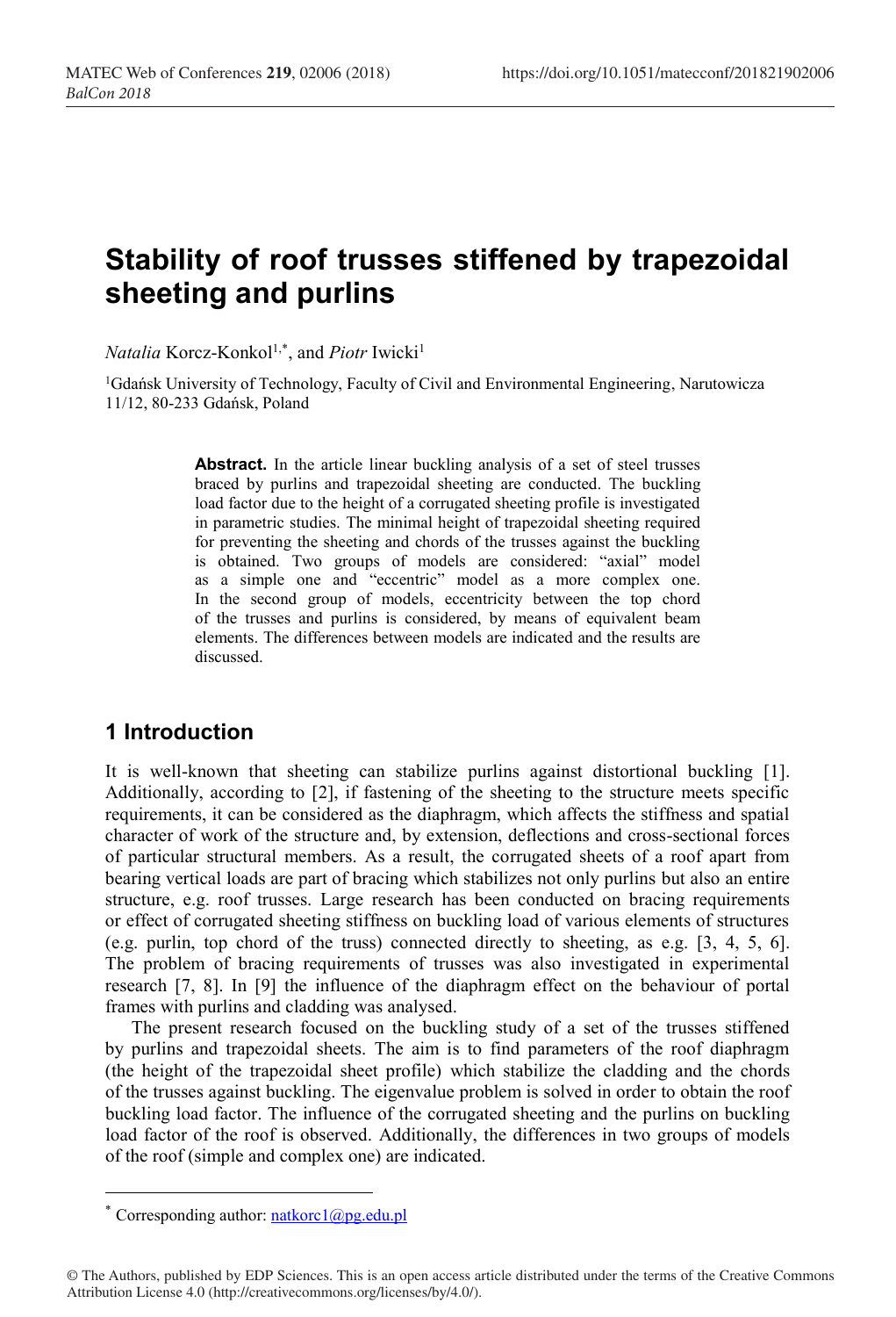# **Stability of roof trusses stiffened by trapezoidal sheeting and purlins**

*Natalia* Korcz-Konkol<sup>1,\*</sup>, and *Piotr* Iwicki<sup>1</sup>

<sup>1</sup>Gdańsk University of Technology, Faculty of Civil and Environmental Engineering, Narutowicza 11/12, 80-233 Gdańsk, Poland

> Abstract. In the article linear buckling analysis of a set of steel trusses braced by purlins and trapezoidal sheeting are conducted. The buckling load factor due to the height of a corrugated sheeting profile is investigated in parametric studies. The minimal height of trapezoidal sheeting required for preventing the sheeting and chords of the trusses against the buckling is obtained. Two groups of models are considered: "axial" model as a simple one and "eccentric" model as a more complex one. In the second group of models, eccentricity between the top chord of the trusses and purlins is considered, by means of equivalent beam elements. The differences between models are indicated and the results are discussed.

## **1 Introduction**

It is well-known that sheeting can stabilize purlins against distortional buckling [1]. Additionally, according to [2], if fastening of the sheeting to the structure meets specific requirements, it can be considered as the diaphragm, which affects the stiffness and spatial character of work of the structure and, by extension, deflections and cross-sectional forces of particular structural members. As a result, the corrugated sheets of a roof apart from bearing vertical loads are part of bracing which stabilizes not only purlins but also an entire structure, e.g. roof trusses. Large research has been conducted on bracing requirements or effect of corrugated sheeting stiffness on buckling load of various elements of structures (e.g. purlin, top chord of the truss) connected directly to sheeting, as e.g. [3, 4, 5, 6]. The problem of bracing requirements of trusses was also investigated in experimental research [7, 8]. In [9] the influence of the diaphragm effect on the behaviour of portal frames with purlins and cladding was analysed.

The present research focused on the buckling study of a set of the trusses stiffened by purlins and trapezoidal sheets. The aim is to find parameters of the roof diaphragm (the height of the trapezoidal sheet profile) which stabilize the cladding and the chords of the trusses against buckling. The eigenvalue problem is solved in order to obtain the roof buckling load factor. The influence of the corrugated sheeting and the purlins on buckling load factor of the roof is observed. Additionally, the differences in two groups of models of the roof (simple and complex one) are indicated.

<sup>\*</sup> Corresponding author:  $n$ atkorc $\frac{a}{p}$ g.edu.pl

<sup>©</sup> The Authors, published by EDP Sciences. This is an open access article distributed under the terms of the Creative Commons Attribution License 4.0 (http://creativecommons.org/licenses/by/4.0/).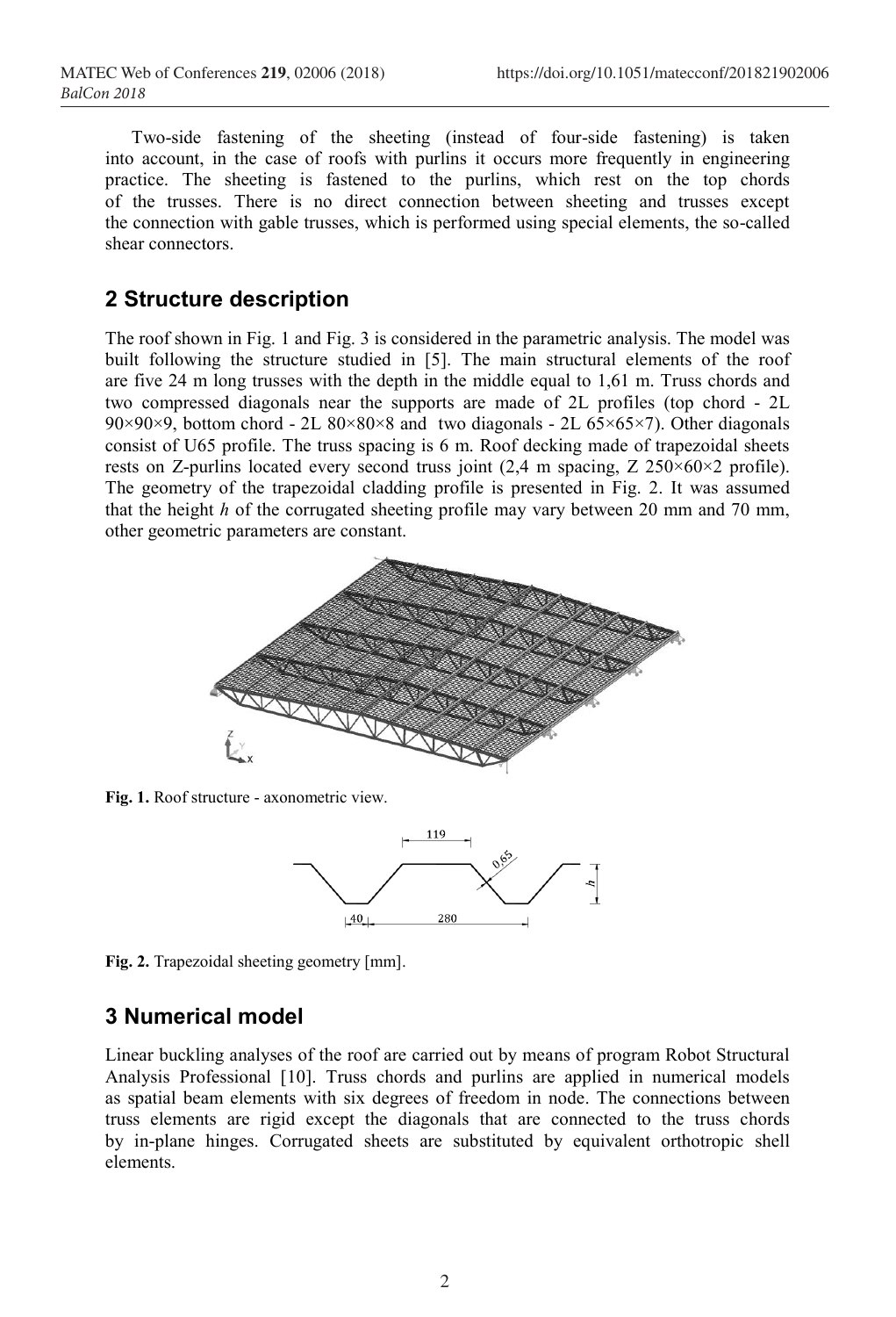Two-side fastening of the sheeting (instead of four-side fastening) is taken into account, in the case of roofs with purlins it occurs more frequently in engineering practice. The sheeting is fastened to the purlins, which rest on the top chords of the trusses. There is no direct connection between sheeting and trusses except the connection with gable trusses, which is performed using special elements, the so-called shear connectors.

#### **2 Structure description**

The roof shown in Fig. 1 and Fig. 3 is considered in the parametric analysis. The model was built following the structure studied in [5]. The main structural elements of the roof are five 24 m long trusses with the depth in the middle equal to 1,61 m. Truss chords and two compressed diagonals near the supports are made of 2L profiles (top chord - 2L 90×90×9, bottom chord - 2L 80×80×8 and two diagonals - 2L 65×65×7). Other diagonals consist of U65 profile. The truss spacing is 6 m. Roof decking made of trapezoidal sheets rests on Z-purlins located every second truss joint  $(2.4 \text{ m spacing}, Z \, 250 \times 60 \times 2 \text{ profile})$ . The geometry of the trapezoidal cladding profile is presented in Fig. 2. It was assumed that the height *h* of the corrugated sheeting profile may vary between 20 mm and 70 mm, other geometric parameters are constant.



**Fig. 1.** Roof structure - axonometric view.



**Fig. 2.** Trapezoidal sheeting geometry [mm].

## **3 Numerical model**

Linear buckling analyses of the roof are carried out by means of program Robot Structural Analysis Professional [10]. Truss chords and purlins are applied in numerical models as spatial beam elements with six degrees of freedom in node. The connections between truss elements are rigid except the diagonals that are connected to the truss chords by in-plane hinges. Corrugated sheets are substituted by equivalent orthotropic shell elements.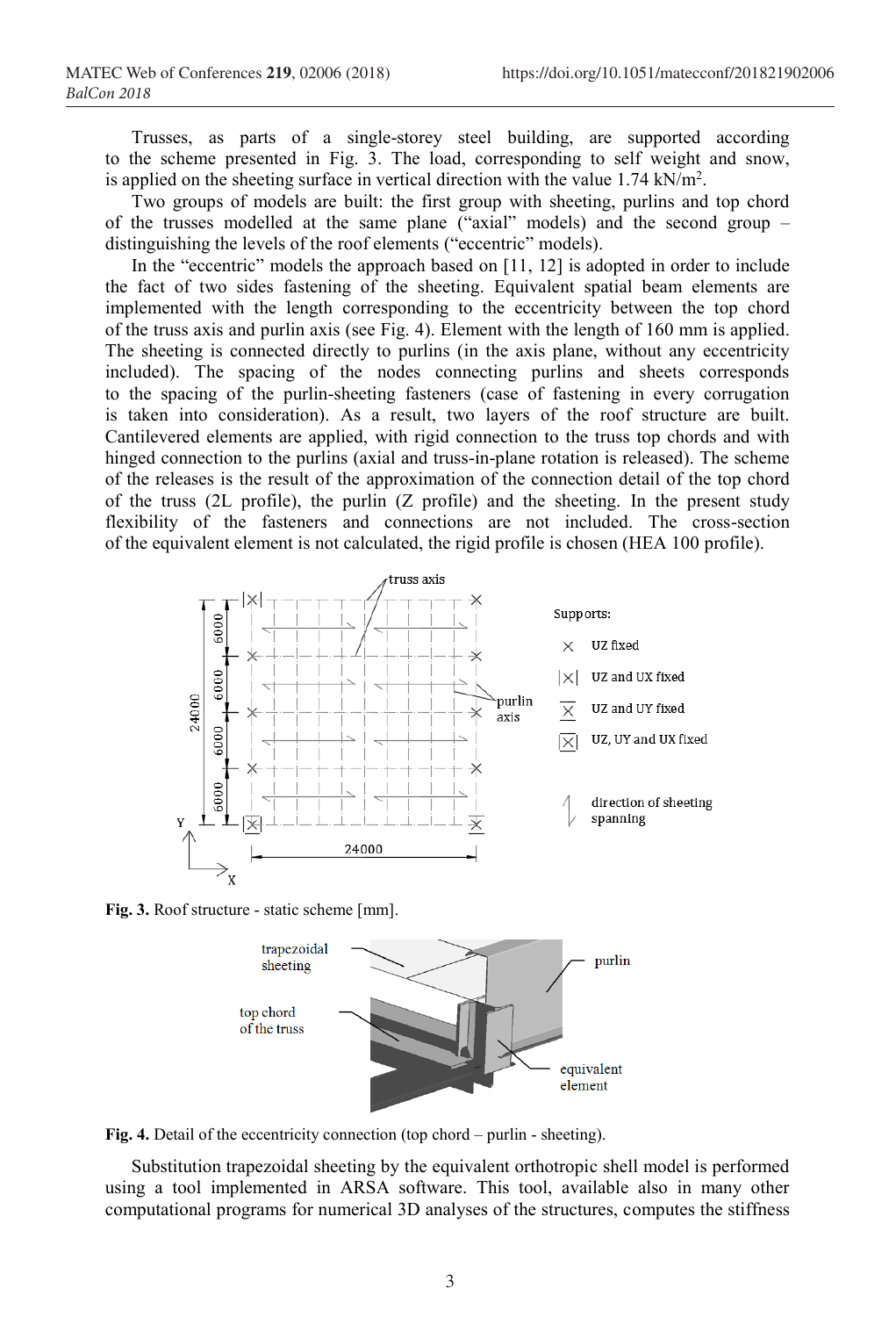Trusses, as parts of a single-storey steel building, are supported according to the scheme presented in Fig. 3. The load, corresponding to self weight and snow, is applied on the sheeting surface in vertical direction with the value  $1.74 \text{ kN/m}^2$ .

Two groups of models are built: the first group with sheeting, purlins and top chord of the trusses modelled at the same plane ("axial" models) and the second group – distinguishing the levels of the roof elements ("eccentric" models).

In the "eccentric" models the approach based on [11, 12] is adopted in order to include the fact of two sides fastening of the sheeting. Equivalent spatial beam elements are implemented with the length corresponding to the eccentricity between the top chord of the truss axis and purlin axis (see Fig. 4). Element with the length of 160 mm is applied. The sheeting is connected directly to purlins (in the axis plane, without any eccentricity included). The spacing of the nodes connecting purlins and sheets corresponds to the spacing of the purlin-sheeting fasteners (case of fastening in every corrugation is taken into consideration). As a result, two layers of the roof structure are built. Cantilevered elements are applied, with rigid connection to the truss top chords and with hinged connection to the purlins (axial and truss-in-plane rotation is released). The scheme of the releases is the result of the approximation of the connection detail of the top chord of the truss (2L profile), the purlin (Z profile) and the sheeting. In the present study flexibility of the fasteners and connections are not included. The cross-section of the equivalent element is not calculated, the rigid profile is chosen (HEA 100 profile).



**Fig. 3.** Roof structure - static scheme [mm].



Fig. 4. Detail of the eccentricity connection (top chord – purlin - sheeting).

Substitution trapezoidal sheeting by the equivalent orthotropic shell model is performed using a tool implemented in ARSA software. This tool, available also in many other computational programs for numerical 3D analyses of the structures, computes the stiffness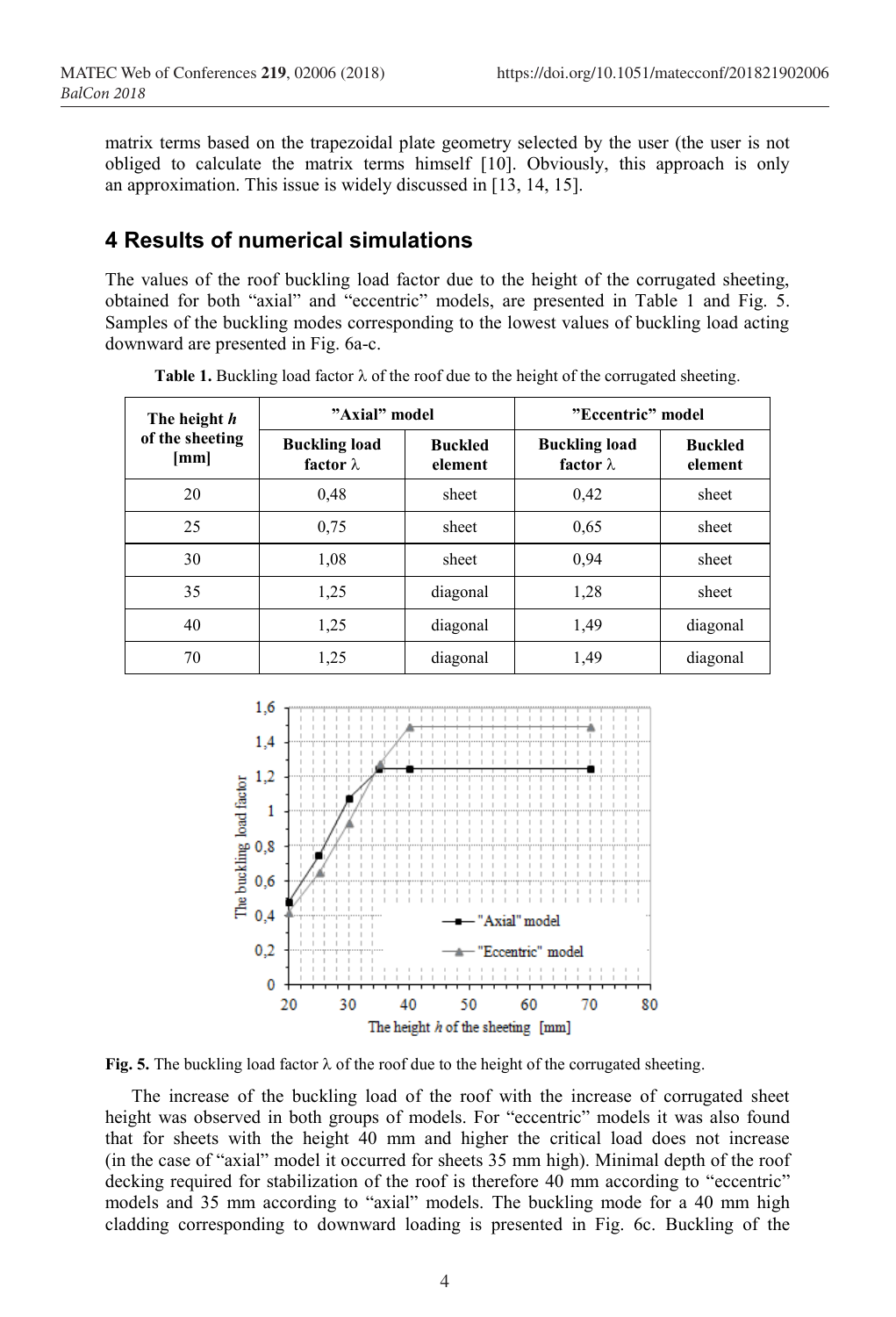matrix terms based on the trapezoidal plate geometry selected by the user (the user is not obliged to calculate the matrix terms himself [10]. Obviously, this approach is only an approximation. This issue is widely discussed in [13, 14, 15].

## **4 Results of numerical simulations**

The values of the roof buckling load factor due to the height of the corrugated sheeting, obtained for both "axial" and "eccentric" models, are presented in Table 1 and Fig. 5. Samples of the buckling modes corresponding to the lowest values of buckling load acting downward are presented in Fig. 6a-c.

| The height h<br>of the sheeting<br>[mm] | "Axial" model                            |                           | "Eccentric" model                        |                           |
|-----------------------------------------|------------------------------------------|---------------------------|------------------------------------------|---------------------------|
|                                         | <b>Buckling load</b><br>factor $\lambda$ | <b>Buckled</b><br>element | <b>Buckling load</b><br>factor $\lambda$ | <b>Buckled</b><br>element |
| 20                                      | 0,48                                     | sheet                     | 0,42                                     | sheet                     |
| 25                                      | 0.75                                     | sheet                     | 0.65                                     | sheet                     |
| 30                                      | 1,08                                     | sheet                     | 0.94                                     | sheet                     |
| 35                                      | 1,25                                     | diagonal                  | 1,28                                     | sheet                     |
| 40                                      | 1,25                                     | diagonal                  | 1,49                                     | diagonal                  |
| 70                                      | 1,25                                     | diagonal                  | 1,49                                     | diagonal                  |

**Table 1.** Buckling load factor  $\lambda$  of the roof due to the height of the corrugated sheeting.



**Fig. 5.** The buckling load factor  $\lambda$  of the roof due to the height of the corrugated sheeting.

The increase of the buckling load of the roof with the increase of corrugated sheet height was observed in both groups of models. For "eccentric" models it was also found that for sheets with the height 40 mm and higher the critical load does not increase (in the case of "axial" model it occurred for sheets 35 mm high). Minimal depth of the roof decking required for stabilization of the roof is therefore 40 mm according to "eccentric" models and 35 mm according to "axial" models. The buckling mode for a 40 mm high cladding corresponding to downward loading is presented in Fig. 6c. Buckling of the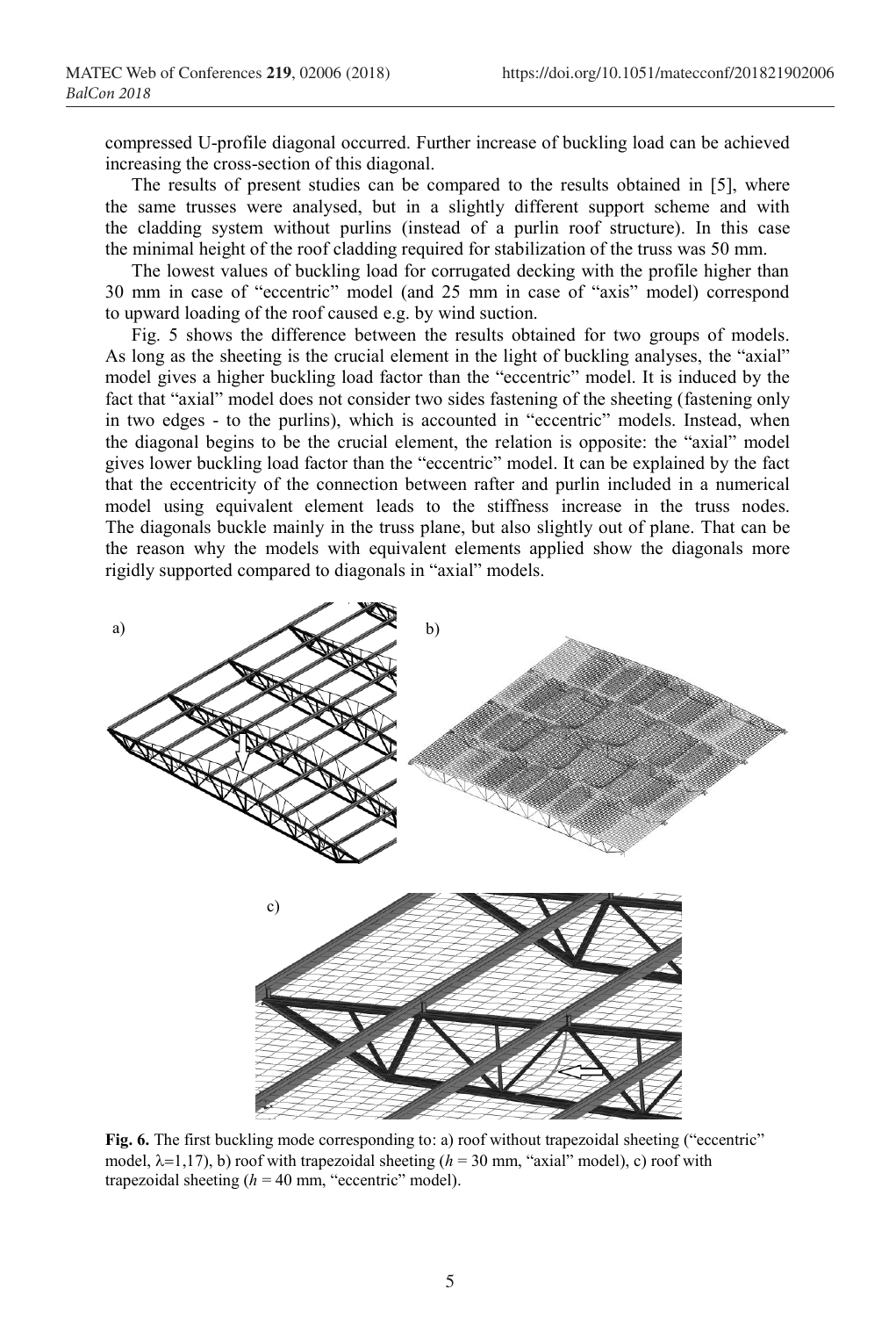compressed U-profile diagonal occurred. Further increase of buckling load can be achieved increasing the cross-section of this diagonal.

The results of present studies can be compared to the results obtained in [5], where the same trusses were analysed, but in a slightly different support scheme and with the cladding system without purlins (instead of a purlin roof structure). In this case the minimal height of the roof cladding required for stabilization of the truss was 50 mm.

The lowest values of buckling load for corrugated decking with the profile higher than 30 mm in case of "eccentric" model (and 25 mm in case of "axis" model) correspond to upward loading of the roof caused e.g. by wind suction.

Fig. 5 shows the difference between the results obtained for two groups of models. As long as the sheeting is the crucial element in the light of buckling analyses, the "axial" model gives a higher buckling load factor than the "eccentric" model. It is induced by the fact that "axial" model does not consider two sides fastening of the sheeting (fastening only in two edges - to the purlins), which is accounted in "eccentric" models. Instead, when the diagonal begins to be the crucial element, the relation is opposite: the "axial" model gives lower buckling load factor than the "eccentric" model. It can be explained by the fact that the eccentricity of the connection between rafter and purlin included in a numerical model using equivalent element leads to the stiffness increase in the truss nodes. The diagonals buckle mainly in the truss plane, but also slightly out of plane. That can be the reason why the models with equivalent elements applied show the diagonals more rigidly supported compared to diagonals in "axial" models.



**Fig. 6.** The first buckling mode corresponding to: a) roof without trapezoidal sheeting ("eccentric" model,  $\lambda=1,17$ , b) roof with trapezoidal sheeting ( $h=30$  mm, "axial" model), c) roof with trapezoidal sheeting  $(h = 40$  mm, "eccentric" model).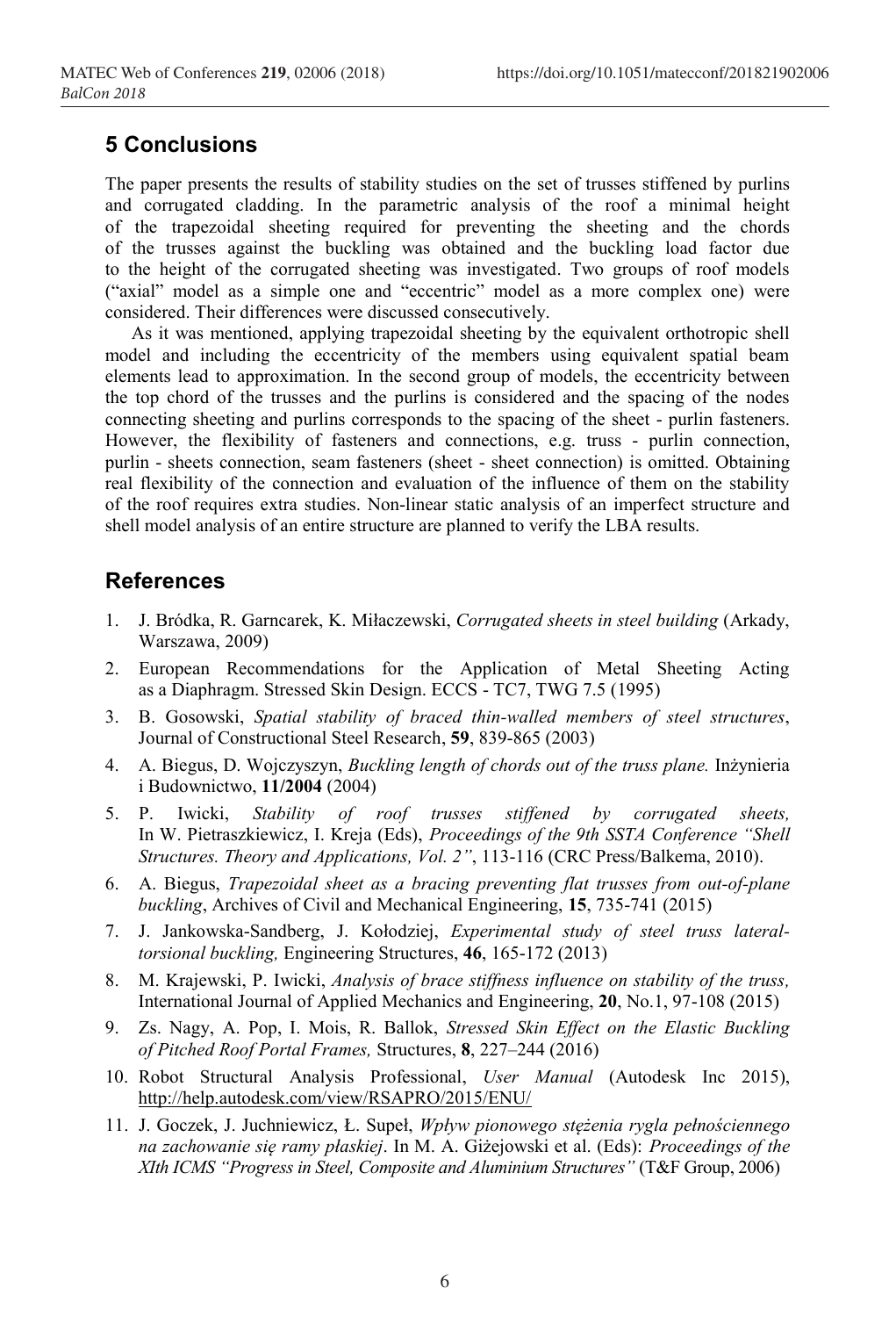#### **5 Conclusions**

The paper presents the results of stability studies on the set of trusses stiffened by purlins and corrugated cladding. In the parametric analysis of the roof a minimal height of the trapezoidal sheeting required for preventing the sheeting and the chords of the trusses against the buckling was obtained and the buckling load factor due to the height of the corrugated sheeting was investigated. Two groups of roof models ("axial" model as a simple one and "eccentric" model as a more complex one) were considered. Their differences were discussed consecutively.

As it was mentioned, applying trapezoidal sheeting by the equivalent orthotropic shell model and including the eccentricity of the members using equivalent spatial beam elements lead to approximation. In the second group of models, the eccentricity between the top chord of the trusses and the purlins is considered and the spacing of the nodes connecting sheeting and purlins corresponds to the spacing of the sheet - purlin fasteners. However, the flexibility of fasteners and connections, e.g. truss - purlin connection, purlin - sheets connection, seam fasteners (sheet - sheet connection) is omitted. Obtaining real flexibility of the connection and evaluation of the influence of them on the stability of the roof requires extra studies. Non-linear static analysis of an imperfect structure and shell model analysis of an entire structure are planned to verify the LBA results.

#### **References**

- 1. J. Bródka, R. Garncarek, K. Miłaczewski, *Corrugated sheets in steel building* (Arkady, Warszawa, 2009)
- 2. European Recommendations for the Application of Metal Sheeting Acting as a Diaphragm. Stressed Skin Design. ECCS - TC7, TWG 7.5 (1995)
- 3. B. Gosowski, *Spatial stability of braced thin-walled members of steel structures*, Journal of Constructional Steel Research, **59**, 839-865 (2003)
- 4. A. Biegus, D. Wojczyszyn, *Buckling length of chords out of the truss plane.* Inżynieria i Budownictwo, **11/2004** (2004)
- 5. P. Iwicki, *Stability of roof trusses stiffened by corrugated sheets,* In W. Pietraszkiewicz, I. Kreja (Eds), *Proceedings of the 9th SSTA Conference "Shell Structures. Theory and Applications, Vol. 2"*, 113-116 (CRC Press/Balkema, 2010).
- 6. A. Biegus, *Trapezoidal sheet as a bracing preventing flat trusses from out-of-plane buckling*, Archives of Civil and Mechanical Engineering, **15**, 735-741 (2015)
- 7. J. Jankowska-Sandberg, J. Kołodziej, *Experimental study of steel truss lateraltorsional buckling,* Engineering Structures, **46**, 165-172 (2013)
- 8. M. Krajewski, P. Iwicki, *Analysis of brace stiffness influence on stability of the truss,* International Journal of Applied Mechanics and Engineering, **20**, No.1, 97-108 (2015)
- 9. Zs. Nagy, A. Pop, I. Mois, R. Ballok, *Stressed Skin Effect on the Elastic Buckling of Pitched Roof Portal Frames,* Structures, **8**, 227–244 (2016)
- 10. Robot Structural Analysis Professional, *User Manual* (Autodesk Inc 2015), http://help.autodesk.com/view/RSAPRO/2015/ENU/
- 11. J. Goczek, J. Juchniewicz, Ł. Supeł, *Wpływ pionowego stężenia rygla pełnościennego na zachowanie się ramy płaskiej*. In M. A. Giżejowski et al. (Eds): *Proceedings of the XIth ICMS "Progress in Steel, Composite and Aluminium Structures"* (T&F Group, 2006)